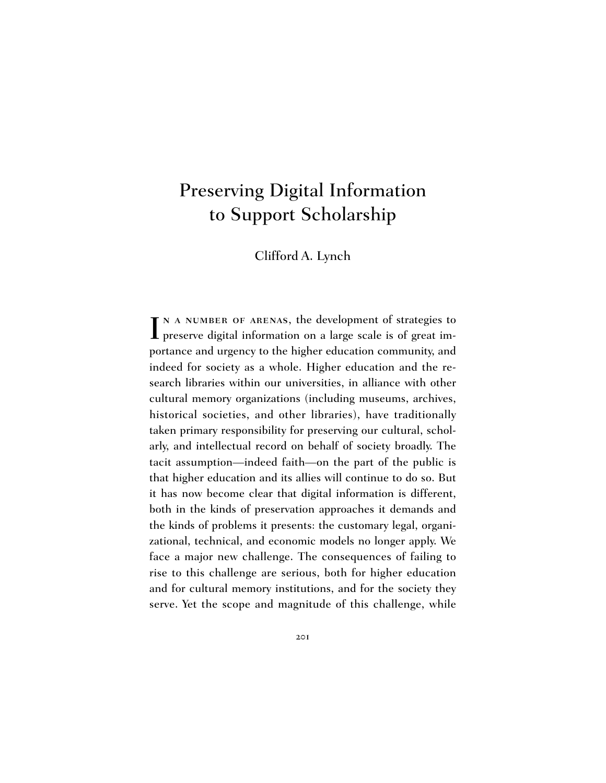# Preserving Digital Information to Support Scholarship

Clifford A. Lynch

IN A NUMBER OF ARENAS, the development of strategies to preserve digital information on a large scale is of great im-IN A NUMBER OF ARENAS, the development of strategies to portance and urgency to the higher education community, and indeed for society as a whole. Higher education and the research libraries within our universities, in alliance with other cultural memory organizations (including museums, archives, historical societies, and other libraries), have traditionally taken primary responsibility for preserving our cultural, scholarly, and intellectual record on behalf of society broadly. The tacit assumption—indeed faith—on the part of the public is that higher education and its allies will continue to do so. But it has now become clear that digital information is different, both in the kinds of preservation approaches it demands and the kinds of problems it presents: the customary legal, organizational, technical, and economic models no longer apply. We face a major new challenge. The consequences of failing to rise to this challenge are serious, both for higher education and for cultural memory institutions, and for the society they serve. Yet the scope and magnitude of this challenge, while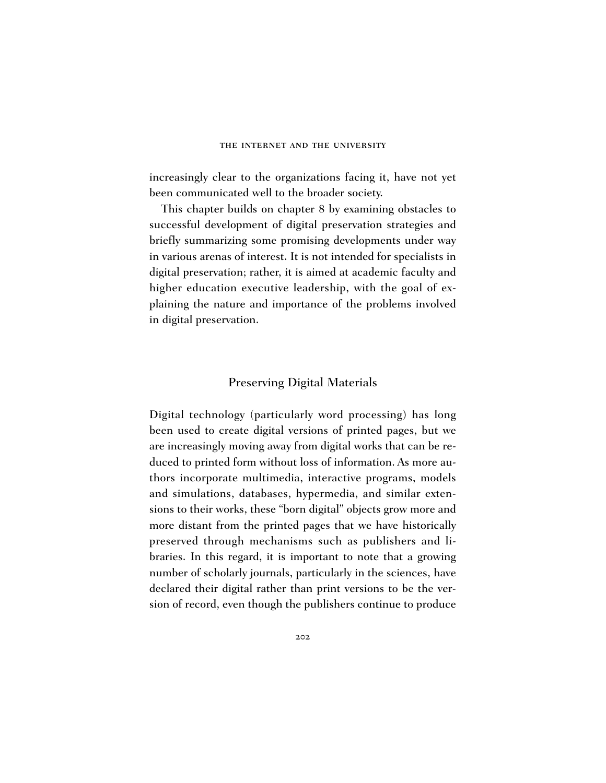increasingly clear to the organizations facing it, have not yet been communicated well to the broader society.

This chapter builds on chapter 8 by examining obstacles to successful development of digital preservation strategies and briefly summarizing some promising developments under way in various arenas of interest. It is not intended for specialists in digital preservation; rather, it is aimed at academic faculty and higher education executive leadership, with the goal of explaining the nature and importance of the problems involved in digital preservation.

# Preserving Digital Materials

Digital technology (particularly word processing) has long been used to create digital versions of printed pages, but we are increasingly moving away from digital works that can be reduced to printed form without loss of information. As more authors incorporate multimedia, interactive programs, models and simulations, databases, hypermedia, and similar extensions to their works, these "born digital" objects grow more and more distant from the printed pages that we have historically preserved through mechanisms such as publishers and libraries. In this regard, it is important to note that a growing number of scholarly journals, particularly in the sciences, have declared their digital rather than print versions to be the version of record, even though the publishers continue to produce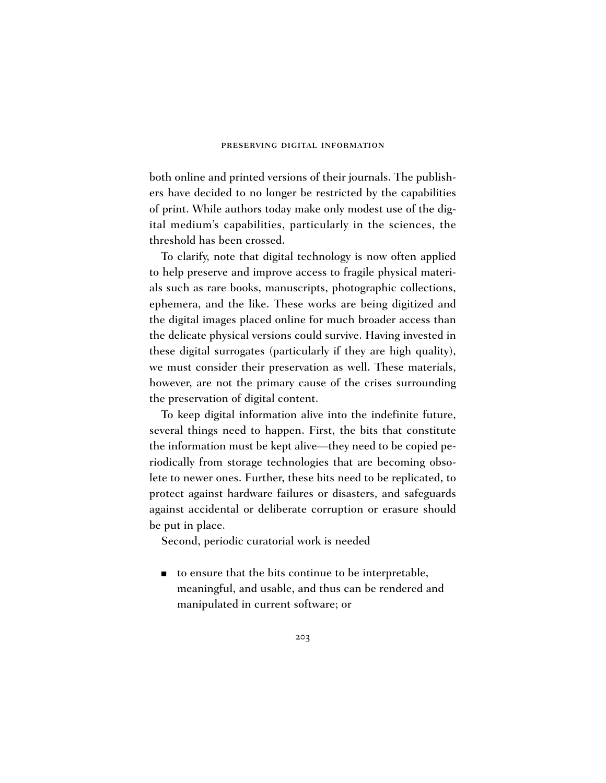both online and printed versions of their journals. The publishers have decided to no longer be restricted by the capabilities of print. While authors today make only modest use of the digital medium's capabilities, particularly in the sciences, the threshold has been crossed.

To clarify, note that digital technology is now often applied to help preserve and improve access to fragile physical materials such as rare books, manuscripts, photographic collections, ephemera, and the like. These works are being digitized and the digital images placed online for much broader access than the delicate physical versions could survive. Having invested in these digital surrogates (particularly if they are high quality), we must consider their preservation as well. These materials, however, are not the primary cause of the crises surrounding the preservation of digital content.

To keep digital information alive into the indefinite future, several things need to happen. First, the bits that constitute the information must be kept alive—they need to be copied periodically from storage technologies that are becoming obsolete to newer ones. Further, these bits need to be replicated, to protect against hardware failures or disasters, and safeguards against accidental or deliberate corruption or erasure should be put in place.

Second, periodic curatorial work is needed

■ to ensure that the bits continue to be interpretable, meaningful, and usable, and thus can be rendered and manipulated in current software; or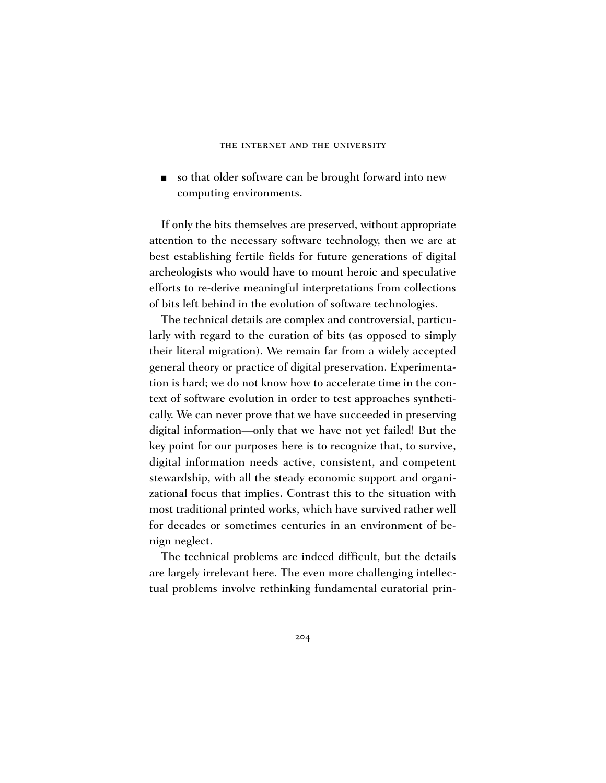■ so that older software can be brought forward into new computing environments.

If only the bits themselves are preserved, without appropriate attention to the necessary software technology, then we are at best establishing fertile fields for future generations of digital archeologists who would have to mount heroic and speculative efforts to re-derive meaningful interpretations from collections of bits left behind in the evolution of software technologies.

The technical details are complex and controversial, particularly with regard to the curation of bits (as opposed to simply their literal migration). We remain far from a widely accepted general theory or practice of digital preservation. Experimentation is hard; we do not know how to accelerate time in the context of software evolution in order to test approaches synthetically. We can never prove that we have succeeded in preserving digital information—only that we have not yet failed! But the key point for our purposes here is to recognize that, to survive, digital information needs active, consistent, and competent stewardship, with all the steady economic support and organizational focus that implies. Contrast this to the situation with most traditional printed works, which have survived rather well for decades or sometimes centuries in an environment of benign neglect.

The technical problems are indeed difficult, but the details are largely irrelevant here. The even more challenging intellectual problems involve rethinking fundamental curatorial prin-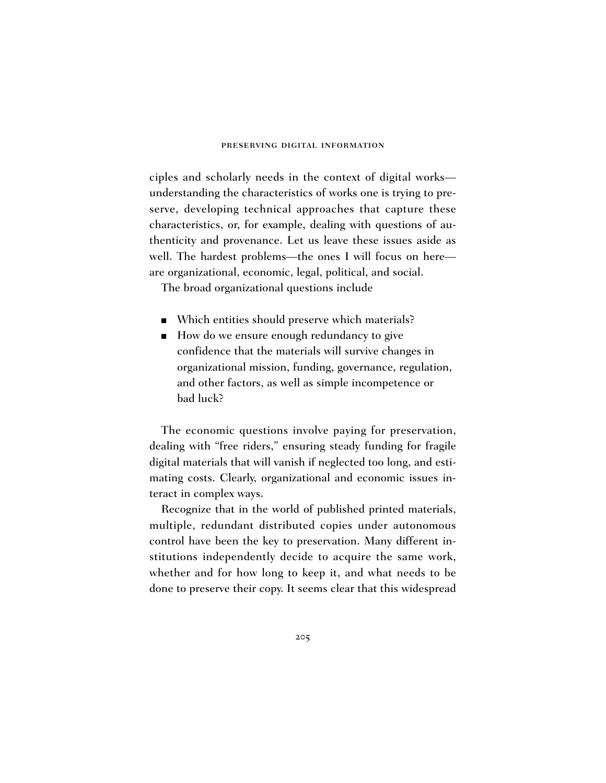ciples and scholarly needs in the context of digital works understanding the characteristics of works one is trying to preserve, developing technical approaches that capture these characteristics, or, for example, dealing with questions of authenticity and provenance. Let us leave these issues aside as well. The hardest problems—the ones I will focus on here are organizational, economic, legal, political, and social.

The broad organizational questions include

- Which entities should preserve which materials?
- How do we ensure enough redundancy to give confidence that the materials will survive changes in organizational mission, funding, governance, regulation, and other factors, as well as simple incompetence or bad luck?

The economic questions involve paying for preservation, dealing with "free riders," ensuring steady funding for fragile digital materials that will vanish if neglected too long, and estimating costs. Clearly, organizational and economic issues interact in complex ways.

Recognize that in the world of published printed materials, multiple, redundant distributed copies under autonomous control have been the key to preservation. Many different institutions independently decide to acquire the same work, whether and for how long to keep it, and what needs to be done to preserve their copy. It seems clear that this widespread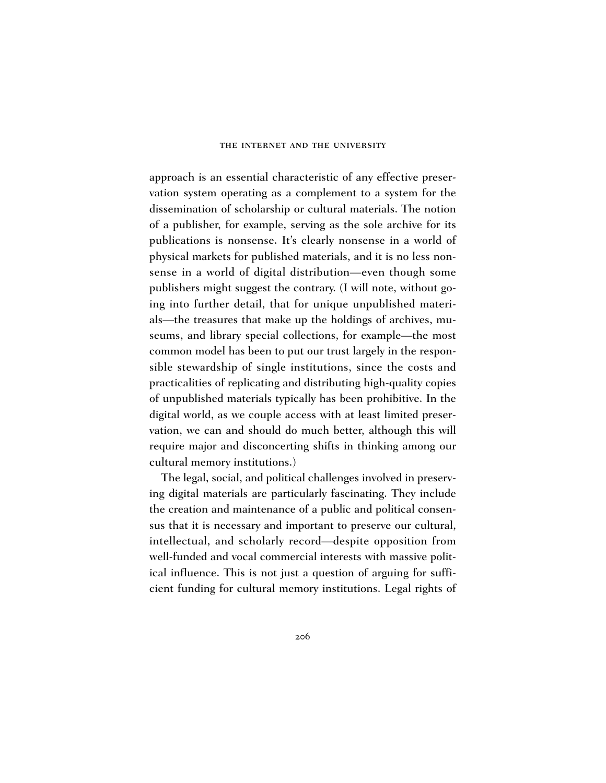approach is an essential characteristic of any effective preservation system operating as a complement to a system for the dissemination of scholarship or cultural materials. The notion of a publisher, for example, serving as the sole archive for its publications is nonsense. It's clearly nonsense in a world of physical markets for published materials, and it is no less nonsense in a world of digital distribution—even though some publishers might suggest the contrary. (I will note, without going into further detail, that for unique unpublished materials—the treasures that make up the holdings of archives, museums, and library special collections, for example—the most common model has been to put our trust largely in the responsible stewardship of single institutions, since the costs and practicalities of replicating and distributing high-quality copies of unpublished materials typically has been prohibitive. In the digital world, as we couple access with at least limited preservation, we can and should do much better, although this will require major and disconcerting shifts in thinking among our cultural memory institutions.)

The legal, social, and political challenges involved in preserving digital materials are particularly fascinating. They include the creation and maintenance of a public and political consensus that it is necessary and important to preserve our cultural, intellectual, and scholarly record—despite opposition from well-funded and vocal commercial interests with massive political influence. This is not just a question of arguing for sufficient funding for cultural memory institutions. Legal rights of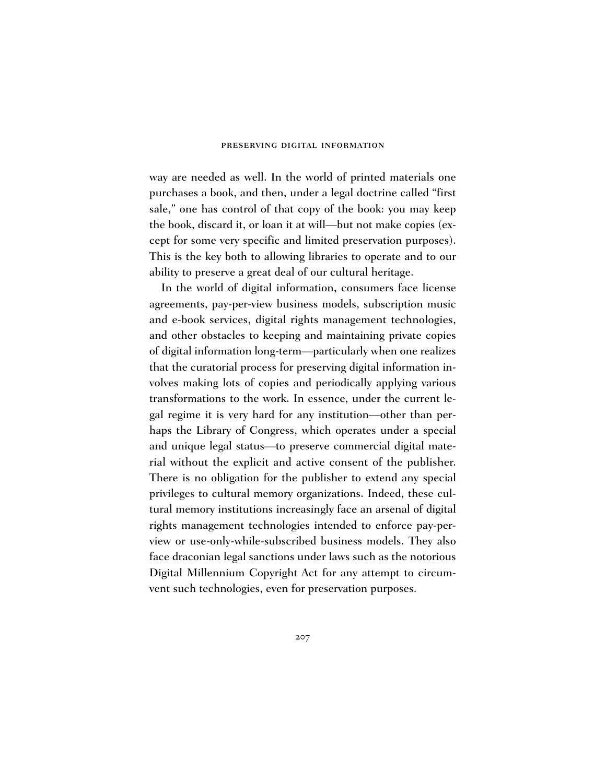way are needed as well. In the world of printed materials one purchases a book, and then, under a legal doctrine called "first sale," one has control of that copy of the book: you may keep the book, discard it, or loan it at will—but not make copies (except for some very specific and limited preservation purposes). This is the key both to allowing libraries to operate and to our ability to preserve a great deal of our cultural heritage.

In the world of digital information, consumers face license agreements, pay-per-view business models, subscription music and e-book services, digital rights management technologies, and other obstacles to keeping and maintaining private copies of digital information long-term—particularly when one realizes that the curatorial process for preserving digital information involves making lots of copies and periodically applying various transformations to the work. In essence, under the current legal regime it is very hard for any institution—other than perhaps the Library of Congress, which operates under a special and unique legal status—to preserve commercial digital material without the explicit and active consent of the publisher. There is no obligation for the publisher to extend any special privileges to cultural memory organizations. Indeed, these cultural memory institutions increasingly face an arsenal of digital rights management technologies intended to enforce pay-perview or use-only-while-subscribed business models. They also face draconian legal sanctions under laws such as the notorious Digital Millennium Copyright Act for any attempt to circumvent such technologies, even for preservation purposes.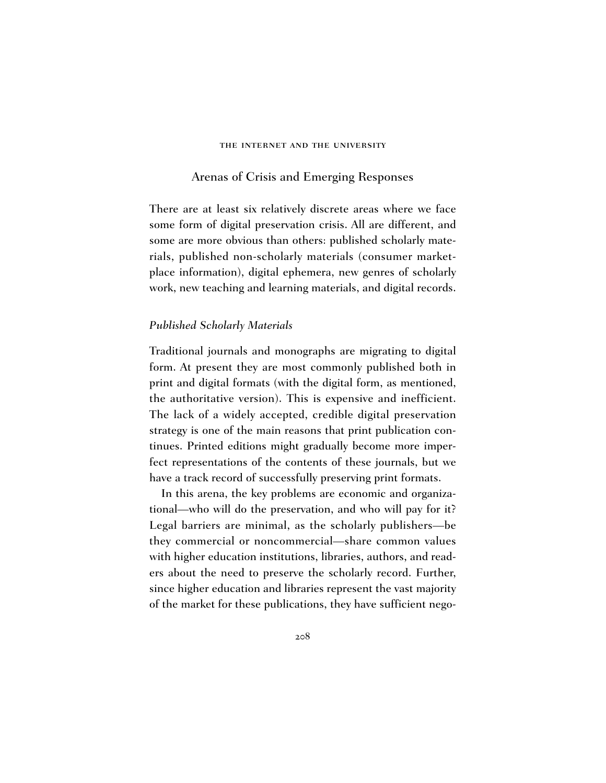## Arenas of Crisis and Emerging Responses

There are at least six relatively discrete areas where we face some form of digital preservation crisis. All are different, and some are more obvious than others: published scholarly materials, published non-scholarly materials (consumer marketplace information), digital ephemera, new genres of scholarly work, new teaching and learning materials, and digital records.

# *Published Scholarly Materials*

Traditional journals and monographs are migrating to digital form. At present they are most commonly published both in print and digital formats (with the digital form, as mentioned, the authoritative version). This is expensive and inefficient. The lack of a widely accepted, credible digital preservation strategy is one of the main reasons that print publication continues. Printed editions might gradually become more imperfect representations of the contents of these journals, but we have a track record of successfully preserving print formats.

In this arena, the key problems are economic and organizational—who will do the preservation, and who will pay for it? Legal barriers are minimal, as the scholarly publishers—be they commercial or noncommercial—share common values with higher education institutions, libraries, authors, and readers about the need to preserve the scholarly record. Further, since higher education and libraries represent the vast majority of the market for these publications, they have sufficient nego-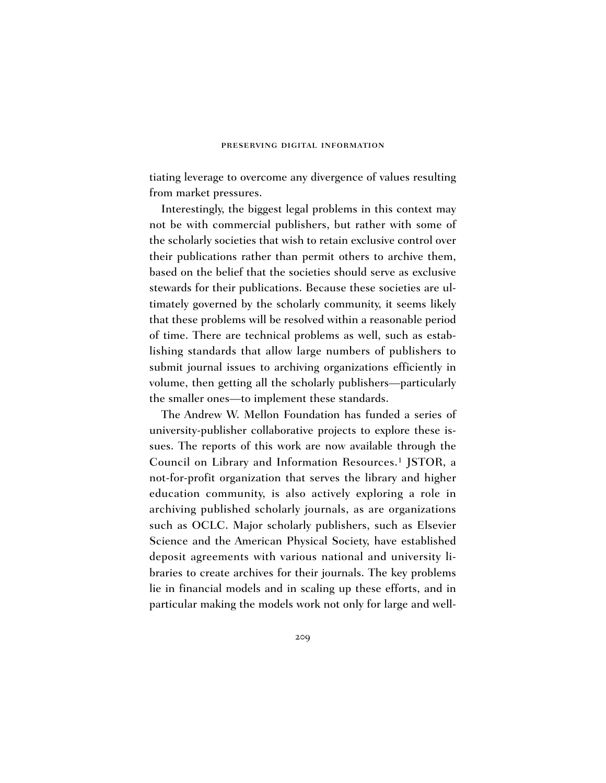tiating leverage to overcome any divergence of values resulting from market pressures.

Interestingly, the biggest legal problems in this context may not be with commercial publishers, but rather with some of the scholarly societies that wish to retain exclusive control over their publications rather than permit others to archive them, based on the belief that the societies should serve as exclusive stewards for their publications. Because these societies are ultimately governed by the scholarly community, it seems likely that these problems will be resolved within a reasonable period of time. There are technical problems as well, such as establishing standards that allow large numbers of publishers to submit journal issues to archiving organizations efficiently in volume, then getting all the scholarly publishers—particularly the smaller ones—to implement these standards.

The Andrew W. Mellon Foundation has funded a series of university-publisher collaborative projects to explore these issues. The reports of this work are now available through the Council on Library and Information Resources.1 JSTOR, a not-for-profit organization that serves the library and higher education community, is also actively exploring a role in archiving published scholarly journals, as are organizations such as OCLC. Major scholarly publishers, such as Elsevier Science and the American Physical Society, have established deposit agreements with various national and university libraries to create archives for their journals. The key problems lie in financial models and in scaling up these efforts, and in particular making the models work not only for large and well-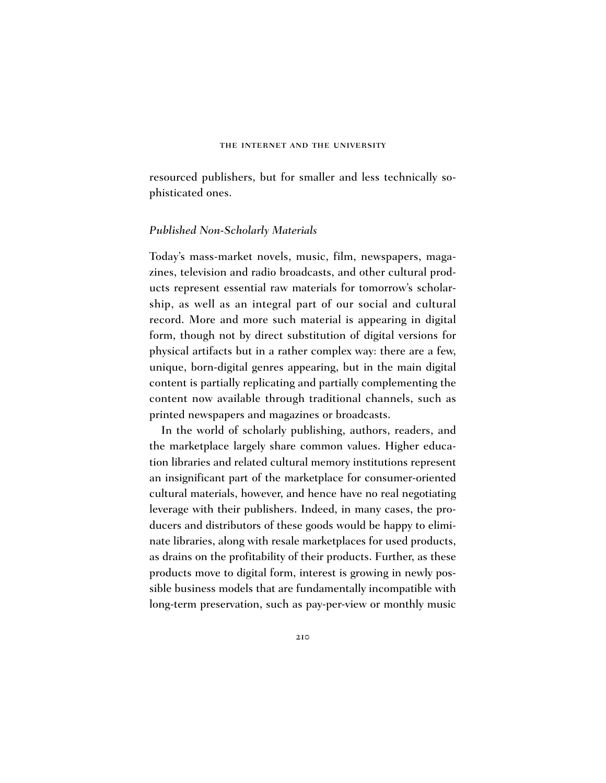resourced publishers, but for smaller and less technically sophisticated ones.

## *Published Non-Scholarly Materials*

Today's mass-market novels, music, film, newspapers, magazines, television and radio broadcasts, and other cultural products represent essential raw materials for tomorrow's scholarship, as well as an integral part of our social and cultural record. More and more such material is appearing in digital form, though not by direct substitution of digital versions for physical artifacts but in a rather complex way: there are a few, unique, born-digital genres appearing, but in the main digital content is partially replicating and partially complementing the content now available through traditional channels, such as printed newspapers and magazines or broadcasts.

In the world of scholarly publishing, authors, readers, and the marketplace largely share common values. Higher education libraries and related cultural memory institutions represent an insignificant part of the marketplace for consumer-oriented cultural materials, however, and hence have no real negotiating leverage with their publishers. Indeed, in many cases, the producers and distributors of these goods would be happy to eliminate libraries, along with resale marketplaces for used products, as drains on the profitability of their products. Further, as these products move to digital form, interest is growing in newly possible business models that are fundamentally incompatible with long-term preservation, such as pay-per-view or monthly music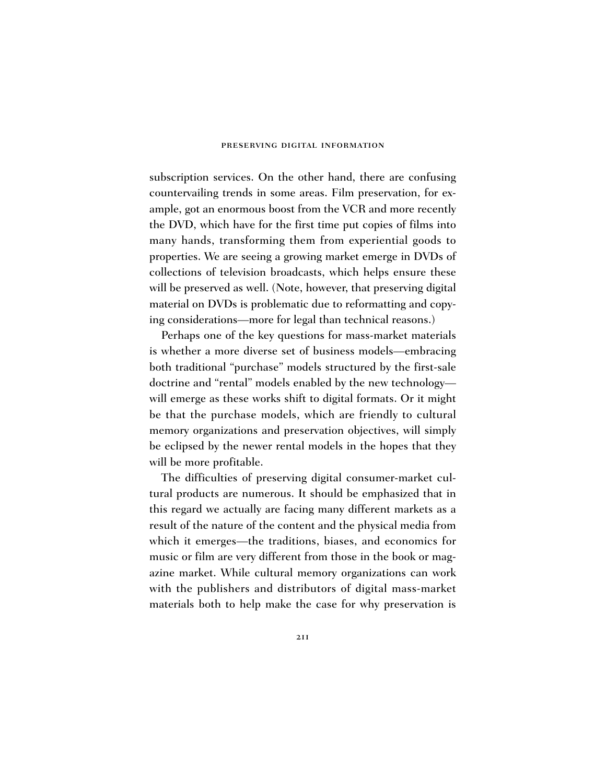subscription services. On the other hand, there are confusing countervailing trends in some areas. Film preservation, for example, got an enormous boost from the VCR and more recently the DVD, which have for the first time put copies of films into many hands, transforming them from experiential goods to properties. We are seeing a growing market emerge in DVDs of collections of television broadcasts, which helps ensure these will be preserved as well. (Note, however, that preserving digital material on DVDs is problematic due to reformatting and copying considerations—more for legal than technical reasons.)

Perhaps one of the key questions for mass-market materials is whether a more diverse set of business models—embracing both traditional "purchase" models structured by the first-sale doctrine and "rental" models enabled by the new technology will emerge as these works shift to digital formats. Or it might be that the purchase models, which are friendly to cultural memory organizations and preservation objectives, will simply be eclipsed by the newer rental models in the hopes that they will be more profitable.

The difficulties of preserving digital consumer-market cultural products are numerous. It should be emphasized that in this regard we actually are facing many different markets as a result of the nature of the content and the physical media from which it emerges—the traditions, biases, and economics for music or film are very different from those in the book or magazine market. While cultural memory organizations can work with the publishers and distributors of digital mass-market materials both to help make the case for why preservation is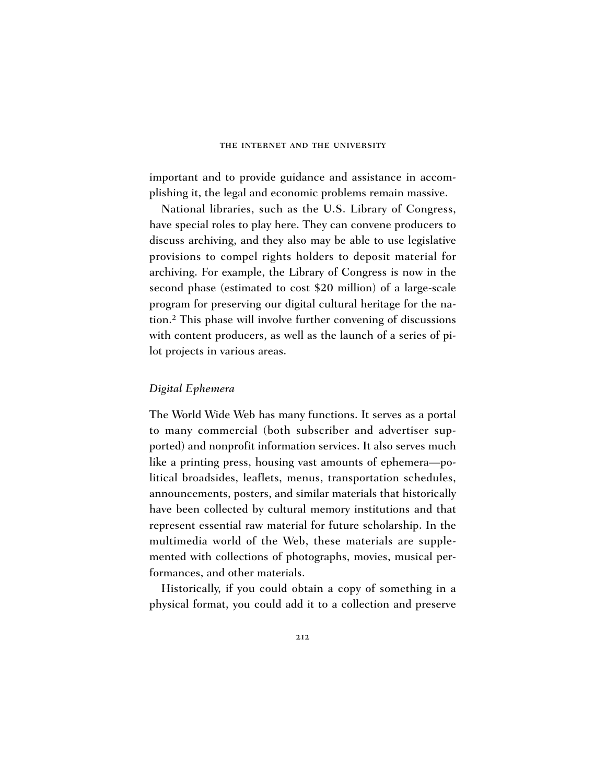important and to provide guidance and assistance in accomplishing it, the legal and economic problems remain massive.

National libraries, such as the U.S. Library of Congress, have special roles to play here. They can convene producers to discuss archiving, and they also may be able to use legislative provisions to compel rights holders to deposit material for archiving. For example, the Library of Congress is now in the second phase (estimated to cost \$20 million) of a large-scale program for preserving our digital cultural heritage for the nation.2 This phase will involve further convening of discussions with content producers, as well as the launch of a series of pilot projects in various areas.

## *Digital Ephemera*

The World Wide Web has many functions. It serves as a portal to many commercial (both subscriber and advertiser supported) and nonprofit information services. It also serves much like a printing press, housing vast amounts of ephemera—political broadsides, leaflets, menus, transportation schedules, announcements, posters, and similar materials that historically have been collected by cultural memory institutions and that represent essential raw material for future scholarship. In the multimedia world of the Web, these materials are supplemented with collections of photographs, movies, musical performances, and other materials.

Historically, if you could obtain a copy of something in a physical format, you could add it to a collection and preserve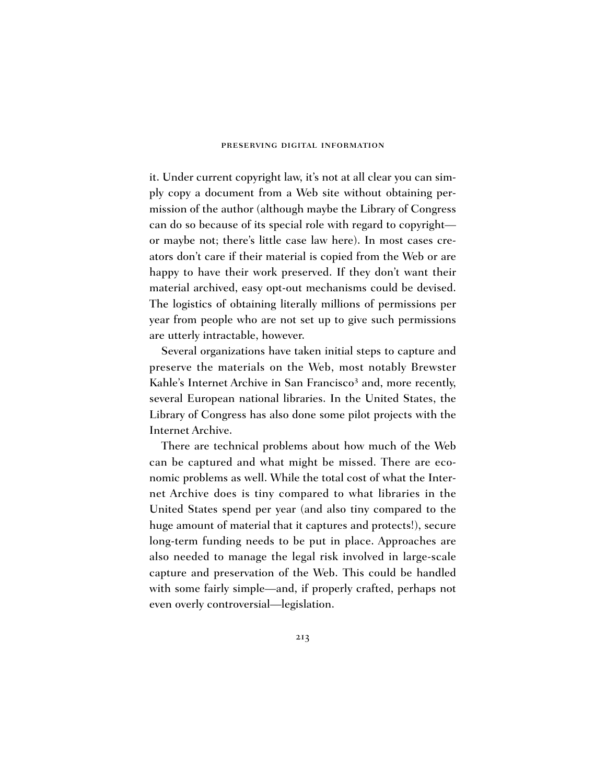it. Under current copyright law, it's not at all clear you can simply copy a document from a Web site without obtaining permission of the author (although maybe the Library of Congress can do so because of its special role with regard to copyright or maybe not; there's little case law here). In most cases creators don't care if their material is copied from the Web or are happy to have their work preserved. If they don't want their material archived, easy opt-out mechanisms could be devised. The logistics of obtaining literally millions of permissions per year from people who are not set up to give such permissions are utterly intractable, however.

Several organizations have taken initial steps to capture and preserve the materials on the Web, most notably Brewster Kahle's Internet Archive in San Francisco<sup>3</sup> and, more recently, several European national libraries. In the United States, the Library of Congress has also done some pilot projects with the Internet Archive.

There are technical problems about how much of the Web can be captured and what might be missed. There are economic problems as well. While the total cost of what the Internet Archive does is tiny compared to what libraries in the United States spend per year (and also tiny compared to the huge amount of material that it captures and protects!), secure long-term funding needs to be put in place. Approaches are also needed to manage the legal risk involved in large-scale capture and preservation of the Web. This could be handled with some fairly simple—and, if properly crafted, perhaps not even overly controversial—legislation.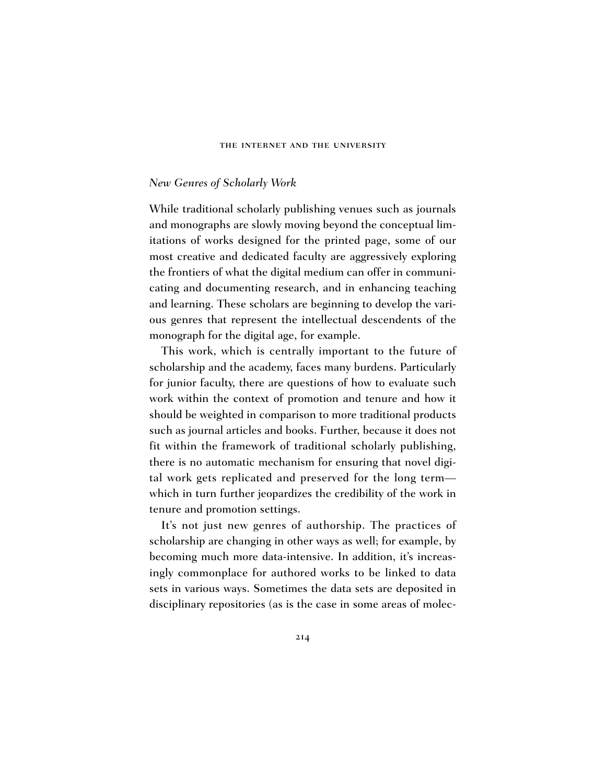## *New Genres of Scholarly Work*

While traditional scholarly publishing venues such as journals and monographs are slowly moving beyond the conceptual limitations of works designed for the printed page, some of our most creative and dedicated faculty are aggressively exploring the frontiers of what the digital medium can offer in communicating and documenting research, and in enhancing teaching and learning. These scholars are beginning to develop the various genres that represent the intellectual descendents of the monograph for the digital age, for example.

This work, which is centrally important to the future of scholarship and the academy, faces many burdens. Particularly for junior faculty, there are questions of how to evaluate such work within the context of promotion and tenure and how it should be weighted in comparison to more traditional products such as journal articles and books. Further, because it does not fit within the framework of traditional scholarly publishing, there is no automatic mechanism for ensuring that novel digital work gets replicated and preserved for the long term which in turn further jeopardizes the credibility of the work in tenure and promotion settings.

It's not just new genres of authorship. The practices of scholarship are changing in other ways as well; for example, by becoming much more data-intensive. In addition, it's increasingly commonplace for authored works to be linked to data sets in various ways. Sometimes the data sets are deposited in disciplinary repositories (as is the case in some areas of molec-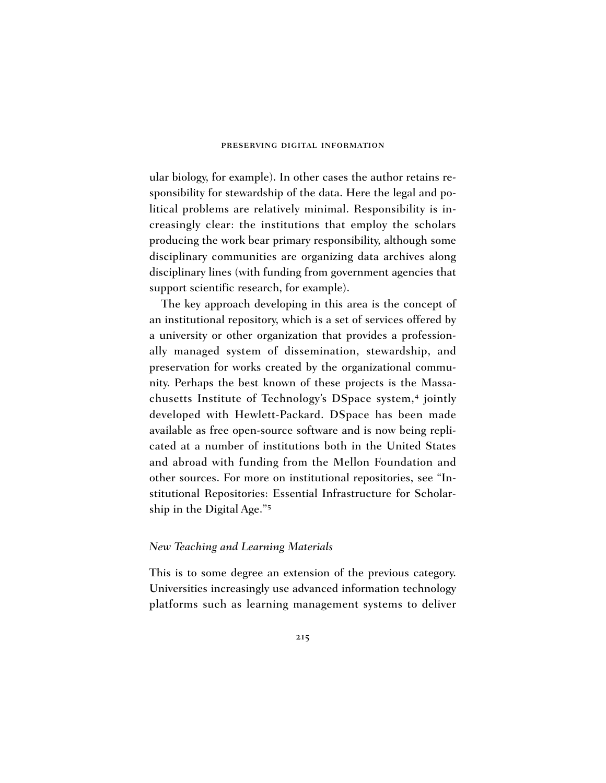ular biology, for example). In other cases the author retains responsibility for stewardship of the data. Here the legal and political problems are relatively minimal. Responsibility is increasingly clear: the institutions that employ the scholars producing the work bear primary responsibility, although some disciplinary communities are organizing data archives along disciplinary lines (with funding from government agencies that support scientific research, for example).

The key approach developing in this area is the concept of an institutional repository, which is a set of services offered by a university or other organization that provides a professionally managed system of dissemination, stewardship, and preservation for works created by the organizational community. Perhaps the best known of these projects is the Massachusetts Institute of Technology's DSpace system,<sup>4</sup> jointly developed with Hewlett-Packard. DSpace has been made available as free open-source software and is now being replicated at a number of institutions both in the United States and abroad with funding from the Mellon Foundation and other sources. For more on institutional repositories, see "Institutional Repositories: Essential Infrastructure for Scholarship in the Digital Age."5

## *New Teaching and Learning Materials*

This is to some degree an extension of the previous category. Universities increasingly use advanced information technology platforms such as learning management systems to deliver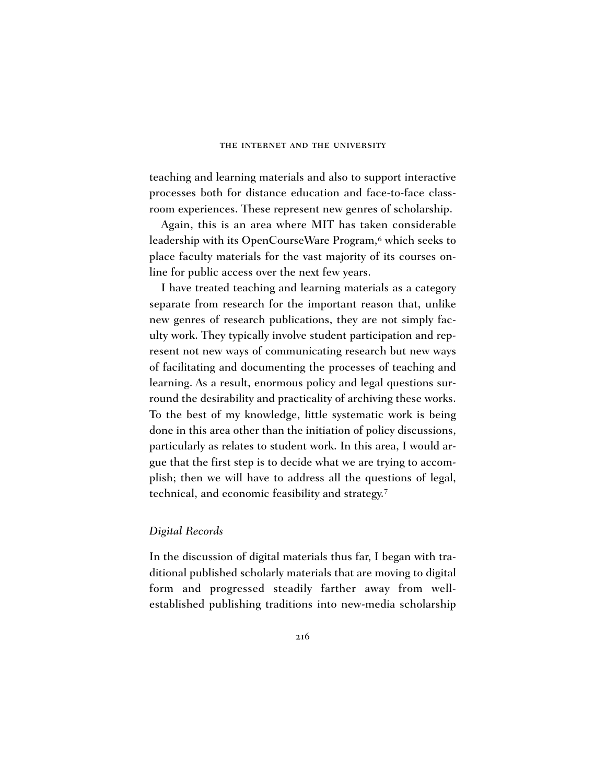teaching and learning materials and also to support interactive processes both for distance education and face-to-face classroom experiences. These represent new genres of scholarship.

Again, this is an area where MIT has taken considerable leadership with its OpenCourseWare Program,<sup>6</sup> which seeks to place faculty materials for the vast majority of its courses online for public access over the next few years.

I have treated teaching and learning materials as a category separate from research for the important reason that, unlike new genres of research publications, they are not simply faculty work. They typically involve student participation and represent not new ways of communicating research but new ways of facilitating and documenting the processes of teaching and learning. As a result, enormous policy and legal questions surround the desirability and practicality of archiving these works. To the best of my knowledge, little systematic work is being done in this area other than the initiation of policy discussions, particularly as relates to student work. In this area, I would argue that the first step is to decide what we are trying to accomplish; then we will have to address all the questions of legal, technical, and economic feasibility and strategy.7

## *Digital Records*

In the discussion of digital materials thus far, I began with traditional published scholarly materials that are moving to digital form and progressed steadily farther away from wellestablished publishing traditions into new-media scholarship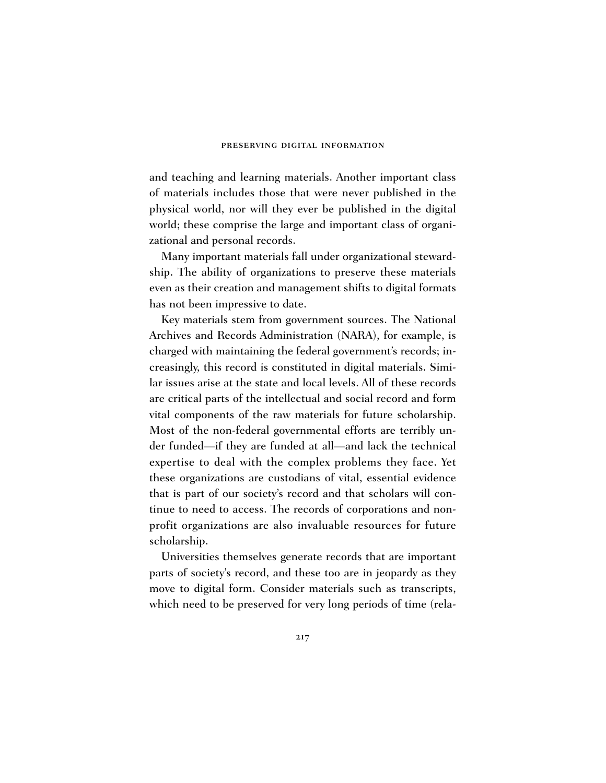and teaching and learning materials. Another important class of materials includes those that were never published in the physical world, nor will they ever be published in the digital world; these comprise the large and important class of organizational and personal records.

Many important materials fall under organizational stewardship. The ability of organizations to preserve these materials even as their creation and management shifts to digital formats has not been impressive to date.

Key materials stem from government sources. The National Archives and Records Administration (NARA), for example, is charged with maintaining the federal government's records; increasingly, this record is constituted in digital materials. Similar issues arise at the state and local levels. All of these records are critical parts of the intellectual and social record and form vital components of the raw materials for future scholarship. Most of the non-federal governmental efforts are terribly under funded—if they are funded at all—and lack the technical expertise to deal with the complex problems they face. Yet these organizations are custodians of vital, essential evidence that is part of our society's record and that scholars will continue to need to access. The records of corporations and nonprofit organizations are also invaluable resources for future scholarship.

Universities themselves generate records that are important parts of society's record, and these too are in jeopardy as they move to digital form. Consider materials such as transcripts, which need to be preserved for very long periods of time (rela-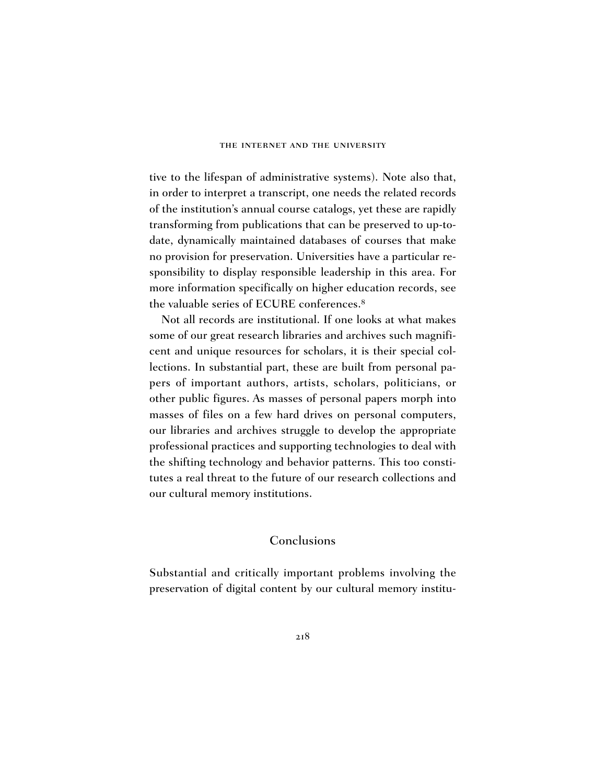tive to the lifespan of administrative systems). Note also that, in order to interpret a transcript, one needs the related records of the institution's annual course catalogs, yet these are rapidly transforming from publications that can be preserved to up-todate, dynamically maintained databases of courses that make no provision for preservation. Universities have a particular responsibility to display responsible leadership in this area. For more information specifically on higher education records, see the valuable series of ECURE conferences.8

Not all records are institutional. If one looks at what makes some of our great research libraries and archives such magnificent and unique resources for scholars, it is their special collections. In substantial part, these are built from personal papers of important authors, artists, scholars, politicians, or other public figures. As masses of personal papers morph into masses of files on a few hard drives on personal computers, our libraries and archives struggle to develop the appropriate professional practices and supporting technologies to deal with the shifting technology and behavior patterns. This too constitutes a real threat to the future of our research collections and our cultural memory institutions.

# Conclusions

Substantial and critically important problems involving the preservation of digital content by our cultural memory institu-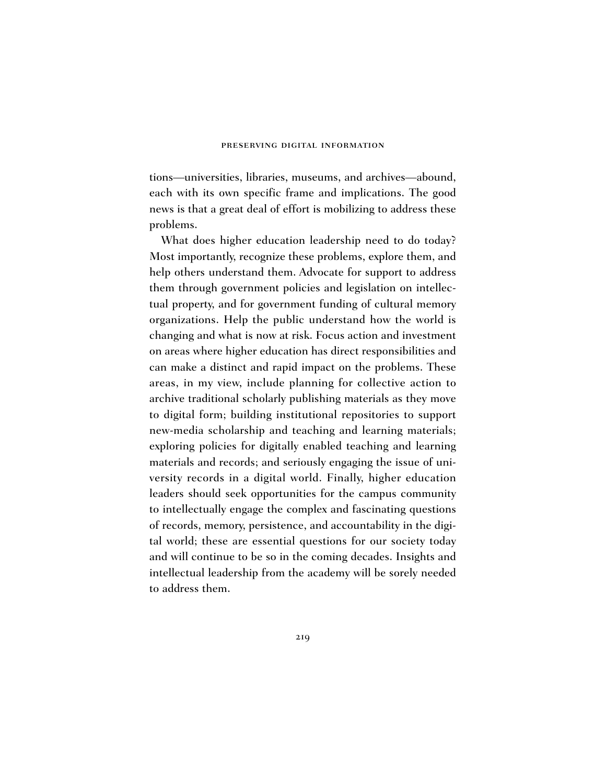tions—universities, libraries, museums, and archives—abound, each with its own specific frame and implications. The good news is that a great deal of effort is mobilizing to address these problems.

What does higher education leadership need to do today? Most importantly, recognize these problems, explore them, and help others understand them. Advocate for support to address them through government policies and legislation on intellectual property, and for government funding of cultural memory organizations. Help the public understand how the world is changing and what is now at risk. Focus action and investment on areas where higher education has direct responsibilities and can make a distinct and rapid impact on the problems. These areas, in my view, include planning for collective action to archive traditional scholarly publishing materials as they move to digital form; building institutional repositories to support new-media scholarship and teaching and learning materials; exploring policies for digitally enabled teaching and learning materials and records; and seriously engaging the issue of university records in a digital world. Finally, higher education leaders should seek opportunities for the campus community to intellectually engage the complex and fascinating questions of records, memory, persistence, and accountability in the digital world; these are essential questions for our society today and will continue to be so in the coming decades. Insights and intellectual leadership from the academy will be sorely needed to address them.